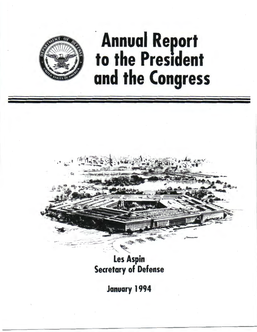

## **Annual Report<br>to the President** and the Congress

**Les Aspin Secretary of Defense** 

January 1994